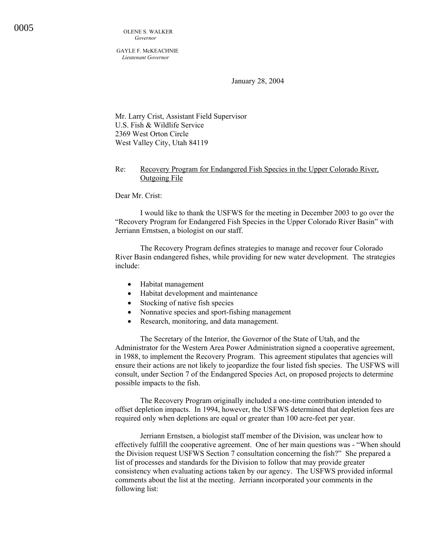GAYLE F. McKEACHNIE  *Lieutenant Governor* 

January 28, 2004

Mr. Larry Crist, Assistant Field Supervisor U.S. Fish & Wildlife Service 2369 West Orton Circle West Valley City, Utah 84119

## Re: Recovery Program for Endangered Fish Species in the Upper Colorado River, Outgoing File

Dear Mr. Crist:

I would like to thank the USFWS for the meeting in December 2003 to go over the "Recovery Program for Endangered Fish Species in the Upper Colorado River Basin" with Jerriann Ernstsen, a biologist on our staff.

The Recovery Program defines strategies to manage and recover four Colorado River Basin endangered fishes, while providing for new water development. The strategies include:

- Habitat management
- Habitat development and maintenance
- Stocking of native fish species
- Nonnative species and sport-fishing management
- Research, monitoring, and data management.

The Secretary of the Interior, the Governor of the State of Utah, and the Administrator for the Western Area Power Administration signed a cooperative agreement, in 1988, to implement the Recovery Program. This agreement stipulates that agencies will ensure their actions are not likely to jeopardize the four listed fish species. The USFWS will consult, under Section 7 of the Endangered Species Act, on proposed projects to determine possible impacts to the fish.

The Recovery Program originally included a one-time contribution intended to offset depletion impacts. In 1994, however, the USFWS determined that depletion fees are required only when depletions are equal or greater than 100 acre-feet per year.

Jerriann Ernstsen, a biologist staff member of the Division, was unclear how to effectively fulfill the cooperative agreement. One of her main questions was - "When should the Division request USFWS Section 7 consultation concerning the fish?" She prepared a list of processes and standards for the Division to follow that may provide greater consistency when evaluating actions taken by our agency. The USFWS provided informal comments about the list at the meeting. Jerriann incorporated your comments in the following list: